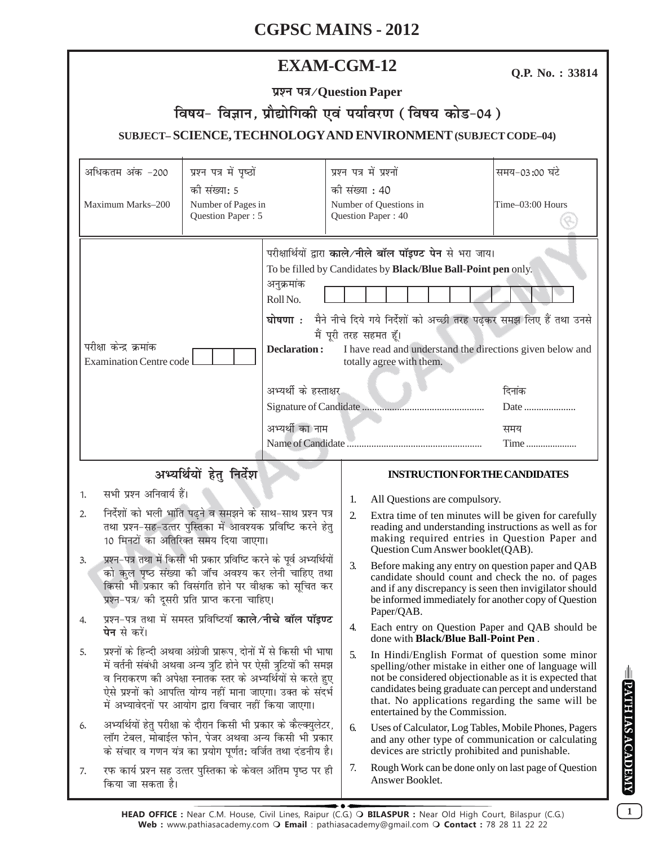| <b>EXAM-CGM-12</b> |
|--------------------|
|--------------------|

Q.P. No.: 33814

| प्रश्न पत्र/Question Paper                                    |  |  |  |  |  |  |
|---------------------------------------------------------------|--|--|--|--|--|--|
| विषय- विज्ञान, प्रौद्योगिकी एवं पर्यावरण (विषय कोड-04)        |  |  |  |  |  |  |
| SUBJECT-SCIENCE, TECHNOLOGY AND ENVIRONMENT (SUBJECT CODE-04) |  |  |  |  |  |  |

|                                                                                                                                                                                                                                               | अधिकतम अंक -200                                                                                                                                                                                                                                                                                                                                                                                                                                                                                                                                                                                                  | प्रश्न पत्र में पृष्ठों |                                                                                                                                                                                                                                                                                                                                                                                                                            | प्रश्न पत्र में प्रश्नों |                                                                                                                                                                                                                                                                                                                 | समय-03:00 घंटे   |  |
|-----------------------------------------------------------------------------------------------------------------------------------------------------------------------------------------------------------------------------------------------|------------------------------------------------------------------------------------------------------------------------------------------------------------------------------------------------------------------------------------------------------------------------------------------------------------------------------------------------------------------------------------------------------------------------------------------------------------------------------------------------------------------------------------------------------------------------------------------------------------------|-------------------------|----------------------------------------------------------------------------------------------------------------------------------------------------------------------------------------------------------------------------------------------------------------------------------------------------------------------------------------------------------------------------------------------------------------------------|--------------------------|-----------------------------------------------------------------------------------------------------------------------------------------------------------------------------------------------------------------------------------------------------------------------------------------------------------------|------------------|--|
| की संख्या: 5                                                                                                                                                                                                                                  |                                                                                                                                                                                                                                                                                                                                                                                                                                                                                                                                                                                                                  |                         | की संख्या : 40                                                                                                                                                                                                                                                                                                                                                                                                             |                          |                                                                                                                                                                                                                                                                                                                 |                  |  |
|                                                                                                                                                                                                                                               | Maximum Marks-200                                                                                                                                                                                                                                                                                                                                                                                                                                                                                                                                                                                                | Number of Pages in      |                                                                                                                                                                                                                                                                                                                                                                                                                            |                          | Number of Questions in                                                                                                                                                                                                                                                                                          | Time-03:00 Hours |  |
| Question Paper: 5                                                                                                                                                                                                                             |                                                                                                                                                                                                                                                                                                                                                                                                                                                                                                                                                                                                                  |                         | Question Paper: 40                                                                                                                                                                                                                                                                                                                                                                                                         |                          |                                                                                                                                                                                                                                                                                                                 |                  |  |
|                                                                                                                                                                                                                                               |                                                                                                                                                                                                                                                                                                                                                                                                                                                                                                                                                                                                                  |                         |                                                                                                                                                                                                                                                                                                                                                                                                                            |                          |                                                                                                                                                                                                                                                                                                                 |                  |  |
| परीक्षा केन्द्र क्रमांक<br><b>Examination Centre code</b>                                                                                                                                                                                     |                                                                                                                                                                                                                                                                                                                                                                                                                                                                                                                                                                                                                  |                         | परीक्षार्थियों द्वारा काले/नीले बॉल पॉइण्ट पेन से भरा जाय।<br>To be filled by Candidates by Black/Blue Ball-Point pen only.<br>अनुक्रमांक<br>Roll No.<br>घोषणा : मैने नीचे दिये गये निर्देशों को अच्छी तरह पढ़कर समझ लिए हैं तथा उनसे<br>मैं पूरी तरह सहमत हूँ।<br><b>Declaration:</b><br>I have read and understand the directions given below and<br>totally agree with them.<br>अभ्यर्थी के हस्ताक्षर<br>दिनांक<br>Date |                          |                                                                                                                                                                                                                                                                                                                 |                  |  |
|                                                                                                                                                                                                                                               |                                                                                                                                                                                                                                                                                                                                                                                                                                                                                                                                                                                                                  |                         |                                                                                                                                                                                                                                                                                                                                                                                                                            |                          |                                                                                                                                                                                                                                                                                                                 |                  |  |
|                                                                                                                                                                                                                                               |                                                                                                                                                                                                                                                                                                                                                                                                                                                                                                                                                                                                                  |                         | अभ्यर्थी का नाम<br>समय                                                                                                                                                                                                                                                                                                                                                                                                     |                          |                                                                                                                                                                                                                                                                                                                 |                  |  |
|                                                                                                                                                                                                                                               |                                                                                                                                                                                                                                                                                                                                                                                                                                                                                                                                                                                                                  |                         | Time                                                                                                                                                                                                                                                                                                                                                                                                                       |                          |                                                                                                                                                                                                                                                                                                                 |                  |  |
| अभ्यर्थियों हेतु निर्देश                                                                                                                                                                                                                      |                                                                                                                                                                                                                                                                                                                                                                                                                                                                                                                                                                                                                  |                         |                                                                                                                                                                                                                                                                                                                                                                                                                            |                          | <b>INSTRUCTION FOR THE CANDIDATES</b>                                                                                                                                                                                                                                                                           |                  |  |
|                                                                                                                                                                                                                                               |                                                                                                                                                                                                                                                                                                                                                                                                                                                                                                                                                                                                                  |                         |                                                                                                                                                                                                                                                                                                                                                                                                                            |                          |                                                                                                                                                                                                                                                                                                                 |                  |  |
| 1.                                                                                                                                                                                                                                            | सभी प्रश्न अनिवार्य हैं।                                                                                                                                                                                                                                                                                                                                                                                                                                                                                                                                                                                         |                         |                                                                                                                                                                                                                                                                                                                                                                                                                            | 1.                       | All Questions are compulsory.                                                                                                                                                                                                                                                                                   |                  |  |
| निर्देशों को भली भांति पढ़ने व समझने के साथ-साथ प्रश्न पत्र<br>2.<br>तथा प्रश्न-सह-उत्तर पुस्तिका में आवश्यक प्रविष्टि करने हेतु<br>10 मिनटों का अतिरिक्त समय दिया जाएगा।                                                                     |                                                                                                                                                                                                                                                                                                                                                                                                                                                                                                                                                                                                                  |                         |                                                                                                                                                                                                                                                                                                                                                                                                                            | 2.                       | Extra time of ten minutes will be given for carefully<br>reading and understanding instructions as well as for<br>making required entries in Question Paper and<br>Question Cum Answer booklet(QAB).                                                                                                            |                  |  |
| प्रश्न-पत्र तथा में किसी भी प्रकार प्रविष्टि करने के पूर्व अभ्यर्थियों<br>3.<br>को कुल पृष्ठ संख्या की जॉच अवश्य कर लेनी चाहिए तथा<br>किसी भी प्रकार की विसंगति होने पर वीक्षक को सूचित कर<br>प्रश्न-पत्र/ की दूसरी प्रति प्राप्त करना चाहिए। |                                                                                                                                                                                                                                                                                                                                                                                                                                                                                                                                                                                                                  |                         |                                                                                                                                                                                                                                                                                                                                                                                                                            | 3.                       | Before making any entry on question paper and QAB<br>candidate should count and check the no. of pages<br>and if any discrepancy is seen then invigilator should<br>be informed immediately for another copy of Question                                                                                        |                  |  |
| 4.                                                                                                                                                                                                                                            | प्रश्न-पत्र तथा में समस्त प्रविष्टियाँ काले/नीचे बॉल पॉइण्ट<br><b>पेन</b> से करें।<br>प्रश्नों के हिन्दी अथवा अंग्रेजी प्रारूप, दोनों में से किसी भी भाषा<br>में वर्तनी संबंधी अथवा अन्य त्रुटि होने पर ऐसी त्रुटियों की समझ<br>व निराकरण की अपेक्षा स्नातक स्तर के अभ्यर्थियों से करते हुए<br>ऐसे प्रश्नों को आपत्ति योग्य नहीं माना जाएगा। उक्त के संदर्भ<br>में अभ्यावेदनों पर आयोग द्वारा विचार नहीं किया जाएगा।<br>अभ्यर्थियों हेतु परीक्षा के दौरान किसी भी प्रकार के कैल्क्युलेटर,<br>लॉग टेबल, मोबाईल फोन, पेजर अथवा अन्य किसी भी प्रकार<br>के संचार व गणन यंत्र का प्रयोग पूर्णत: वर्जित तथा दंडनीय है। |                         |                                                                                                                                                                                                                                                                                                                                                                                                                            | 4.                       | Paper/QAB.<br>Each entry on Question Paper and QAB should be<br>done with <b>Black/Blue Ball-Point Pen</b> .                                                                                                                                                                                                    |                  |  |
| 5.                                                                                                                                                                                                                                            |                                                                                                                                                                                                                                                                                                                                                                                                                                                                                                                                                                                                                  |                         |                                                                                                                                                                                                                                                                                                                                                                                                                            | 5.                       | In Hindi/English Format of question some minor<br>spelling/other mistake in either one of language will<br>not be considered objectionable as it is expected that<br>candidates being graduate can percept and understand<br>that. No applications regarding the same will be<br>entertained by the Commission. |                  |  |
| 6.                                                                                                                                                                                                                                            |                                                                                                                                                                                                                                                                                                                                                                                                                                                                                                                                                                                                                  |                         |                                                                                                                                                                                                                                                                                                                                                                                                                            | 6.                       | Uses of Calculator, Log Tables, Mobile Phones, Pagers<br>and any other type of communication or calculating<br>devices are strictly prohibited and punishable.                                                                                                                                                  |                  |  |
| 7.                                                                                                                                                                                                                                            | रफ कार्य प्रश्न सह उत्तर पुस्तिका के केवल अंतिम पृष्ठ पर ही<br>किया जा सकता है।                                                                                                                                                                                                                                                                                                                                                                                                                                                                                                                                  |                         |                                                                                                                                                                                                                                                                                                                                                                                                                            | 7.                       | Rough Work can be done only on last page of Question<br>Answer Booklet.                                                                                                                                                                                                                                         |                  |  |

**EPATHIAS ACADEMY**  $\boxed{1}$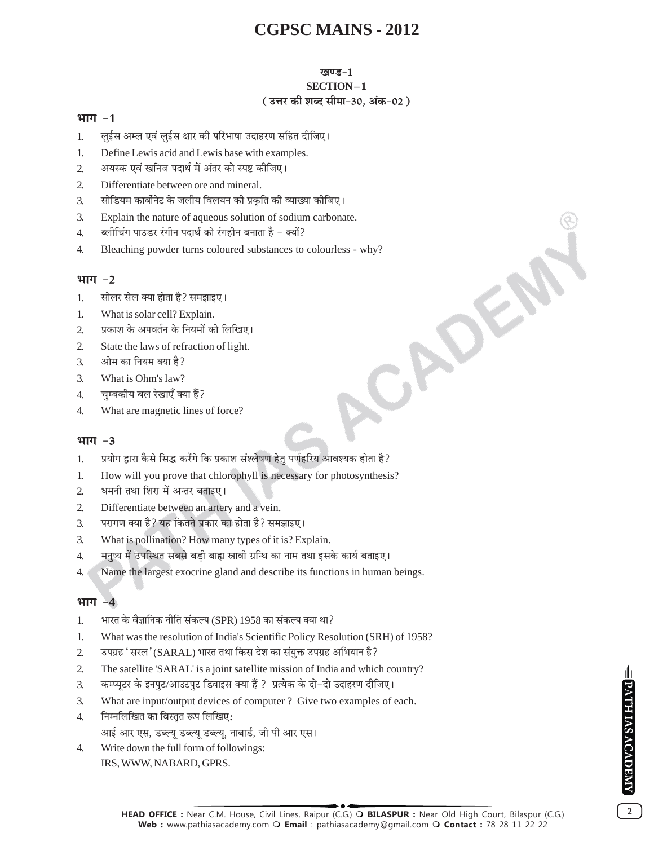#### खण्ड-1

## SECTION-1

### ( उत्तर की शब्द सीमा-30, अंक-02 )

#### भाग -1

- लुईस अम्ल एवं लुईस क्षार की परिभाषा उदाहरण सहित दीजिए।  $\mathbf{1}$
- $\overline{1}$ . Define Lewis acid and Lewis base with examples.
- अयस्क एवं खनिज पदार्थ में अंतर को स्पष्ट कीजिए।  $\overline{2}$
- $\mathcal{L}$ Differentiate between ore and mineral.
- सोडियम कार्बोनेट के जलीय विलयन की प्रकृति की व्याख्या कीजिए।  $\overline{3}$ .
- Explain the nature of aqueous solution of sodium carbonate.  $\overline{3}$ .
- ब्लीचिंग पाउडर रंगीन पदार्थ को रंगहीन बनाता है क्यों?  $4.$
- Bleaching powder turns coloured substances to colourless why?  $\overline{4}$ CADES

### भाग $-2$

- सोलर सेल क्या होता है? समझाइए।  $\mathbf{1}$
- What is solar cell? Explain.  $\mathbf{1}$ .
- प्रकाश के अपवर्तन के नियमों को लिखिए।  $\overline{2}$
- $\overline{2}$ State the laws of refraction of light.
- ओम का नियम क्या है?  $\mathcal{F}_{\mathcal{L}}$
- What is Ohm's law?  $\mathcal{F}$
- चुम्बकीय बल रेखाएँ क्या हैं?  $\overline{4}$ .
- $\overline{4}$ . What are magnetic lines of force?

#### भाग $-3$

- प्रयोग द्वारा कैसे सिद्ध करेंगे कि प्रकाश संश्लेषण हेतु पर्णहरिय आवश्यक होता है? 1.
- How will you prove that chlorophyll is necessary for photosynthesis? 1.
- धमनी तथा शिरा में अन्तर बताइए।  $\mathcal{L}$
- $\overline{2}$ Differentiate between an artery and a vein.
- परागण क्या है? यह कितने प्रकार का होता है? समझाइए।  $\overline{3}$ .
- $\overline{3}$ . What is pollination? How many types of it is? Explain.
- मनृष्य में उपस्थित सबसे बडी बाह्य स्नावी ग्रन्थि का नाम तथा इसके कार्य बताइए।  $\overline{4}$ .
- $\overline{4}$ . Name the largest exocrine gland and describe its functions in human beings.

## भाग $-4$

- भारत के वैज्ञानिक नीति संकल्प (SPR) 1958 का संकल्प क्या था?  $\mathbf{1}$ .
- 1. What was the resolution of India's Scientific Policy Resolution (SRH) of 1958?
- उपग्रह 'सरल' (SARAL) भारत तथा किस देश का संयुक्त उपग्रह अभियान है?  $\overline{2}$
- $\overline{2}$ The satellite 'SARAL' is a joint satellite mission of India and which country?
- कम्प्यूटर के इनपुट/आउटपुट डिवाइस क्या हैं ? प्रत्येक के दो-दो उदाहरण दीजिए। 3.
- $\overline{3}$ . What are input/output devices of computer? Give two examples of each.
- निम्नलिखित का विस्तृत रूप लिखिए:  $\overline{4}$ . आई आर एस, डब्ल्यू डब्ल्यू डब्ल्यू, नाबार्ड, जी पी आर एस।
- Write down the full form of followings:  $\overline{4}$ . IRS, WWW, NABARD, GPRS.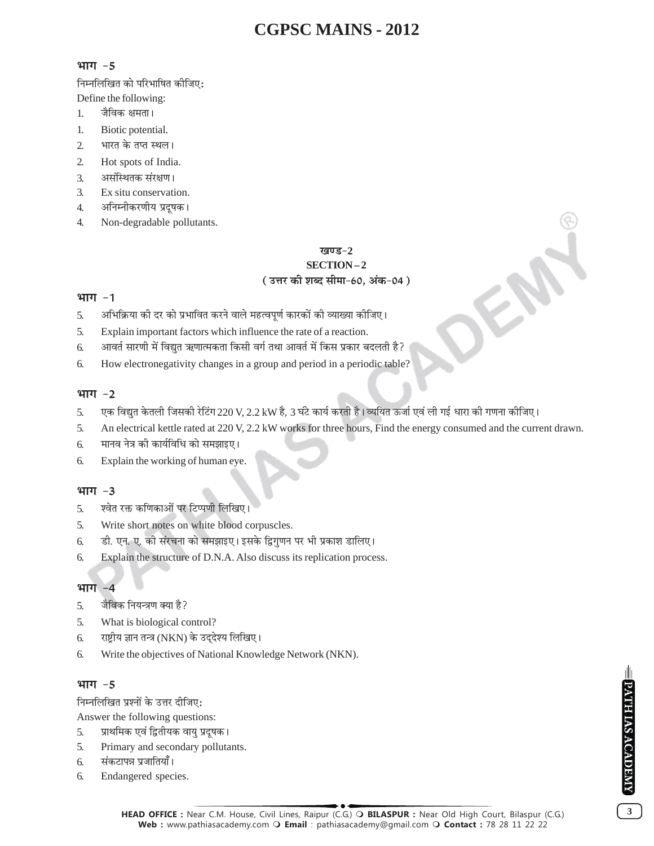#### भाग -5

निम्नलिखित को परिभाषित कीजिए:

Define the following:

- जैविक क्षमता। 1.
- $\overline{1}$ . Biotic potential.
- भारत के तप्त स्थल।  $\overline{2}$
- Hot spots of India.  $2.$
- असंस्थितक संरक्षण।  $\overline{3}$ .
- $\overline{3}$ . Ex situ conservation.
- अनिम्नीकरणीय प्रदूषक।  $\overline{4}$ .
- $\overline{4}$ . Non-degradable pollutants.

## खण्ड $-2$ SECTION-2 (उत्तर की शब्द सीमा-60, अंक-04)

#### भाग $-1$

- अभिक्रिया की दर को प्रभावित करने वाले महत्वपूर्ण कारकों की व्याख्या कीजिए। 5.
- $\overline{5}$ . Explain important factors which influence the rate of a reaction.
- आवर्त सारणी में विद्युत ऋणात्मकता किसी वर्ग तथा आवर्त में किस प्रकार बदलती है? 6.
- 6. How electronegativity changes in a group and period in a periodic table?

### भाग -2

- एक विद्युत केतली जिसकी रेटिंग 220 V, 2.2 kW है, 3 घंटे कार्य करती है। व्ययित ऊर्जा एवं ली गई धारा की गणना कीजिए। 5.
- An electrical kettle rated at 220 V, 2.2 kW works for three hours, Find the energy consumed and the current drawn. 5.
- मानव नेत्र की कार्यविधि को समझाइए। 6
- Explain the working of human eye. 6.

## भाग $-3$

- 5. श्वेत रक्त कणिकाओं पर टिप्पणी लिखिए।
- Write short notes on white blood corpuscles. 5.
- डी. एन. ए. की संरचना को समझाइए। इसके द्विगुणन पर भी प्रकाश डालिए। 6.
- 6. Explain the structure of D.N.A. Also discuss its replication process.

## भाग -4

- जैविक नियन्त्रण क्या है? 5.
- What is biological control? 5.
- राष्ट्रीय ज्ञान तन्त्र (NKN) के उद्देश्य लिखिए। 6.
- Write the objectives of National Knowledge Network (NKN). 6.

## भाग -5

निम्नलिखित प्रश्नों के उत्तर दीजिए:

Answer the following questions:

- प्राथमिक एवं द्वितीयक वायु प्रदूषक। 5.
- 5. Primary and secondary pollutants.
- संकटापन्न प्रजातियाँ। 6.
- 6. Endangered species.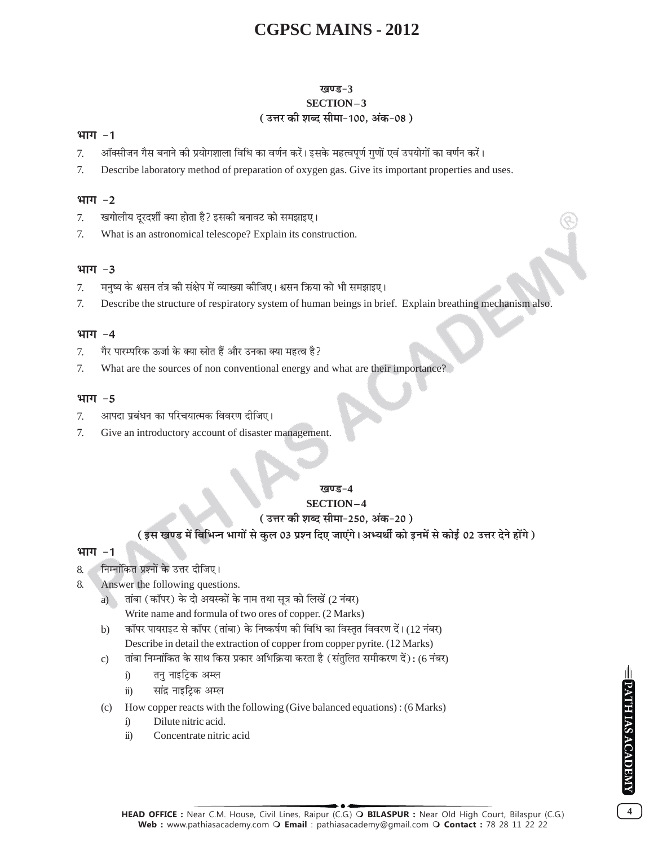#### खण्ड-3 SECTION-3 (उत्तर की शब्द सीमा-100, अंक-08)

#### भाग $-1$

- ऑक्सीजन गैस बनाने की प्रयोगशाला विधि का वर्णन करें। इसके महत्वपूर्ण गुणों एवं उपयोगों का वर्णन करें। 7.
- Describe laboratory method of preparation of oxygen gas. Give its important properties and uses. 7.

#### भाग $-2$

- खगोलीय दुरदर्शी क्या होता है? इसकी बनावट को समझाइए।  $7.$
- What is an astronomical telescope? Explain its construction. 7.

#### भाग -3

- मनुष्य के श्वसन तंत्र की संक्षेप में व्याख्या कीजिए। श्वसन क्रिया को भी समझाइए। 7.
- 7. Describe the structure of respiratory system of human beings in brief. Explain breathing mechanism also.

#### भाग  $-4$

- गैर पारम्परिक ऊर्जा के क्या स्रोत हैं और उनका क्या महत्व है? 7.
- 7. What are the sources of non conventional energy and what are their importance?

#### भाग $-5$

- आपदा प्रबंधन का परिचयात्मक विवरण दीजिए।  $\overline{7}$ .
- 7. Give an introductory account of disaster management.

#### खण्ड-4

#### **SECTION-4**

#### ( उत्तर की शब्द सीमा-250. अंक-20 )

#### ( इस खण्ड में विभिन्न भागों से कुल 03 प्रश्न दिए जाएंगे। अभ्यर्थी को इनमें से कोई 02 उत्तर देने होंगे )

#### भाग $-1$

- निम्नांकित प्रश्नों के उत्तर दीजिए। 8.
- Answer the following questions. 8.
	- a) तांबा (कॉपर) के दो अयस्कों के नाम तथा सूत्र को लिखें (2 नंबर) Write name and formula of two ores of copper. (2 Marks)
	- कॉपर पायराइट से कॉपर (तांबा) के निष्कर्षण की विधि का विस्तृत विवरण दें।(12 नंबर)  $b)$ Describe in detail the extraction of copper from copper pyrite. (12 Marks)
	- तांबा निम्नांकित के साथ किस प्रकार अभिक्रिया करता है (संतुलित समीकरण दें): (6 नंबर)  $\mathbf{c})$ 
		- $i)$ तनु नाइट्रिक अम्ल
		- सांद्र नाइटिक अम्ल  $\ddot{u}$
	- How copper reacts with the following (Give balanced equations): (6 Marks)  $(c)$ 
		- Dilute nitric acid.  $\ddot{1}$
		- Concentrate nitric acid  $\ddot{u}$ )